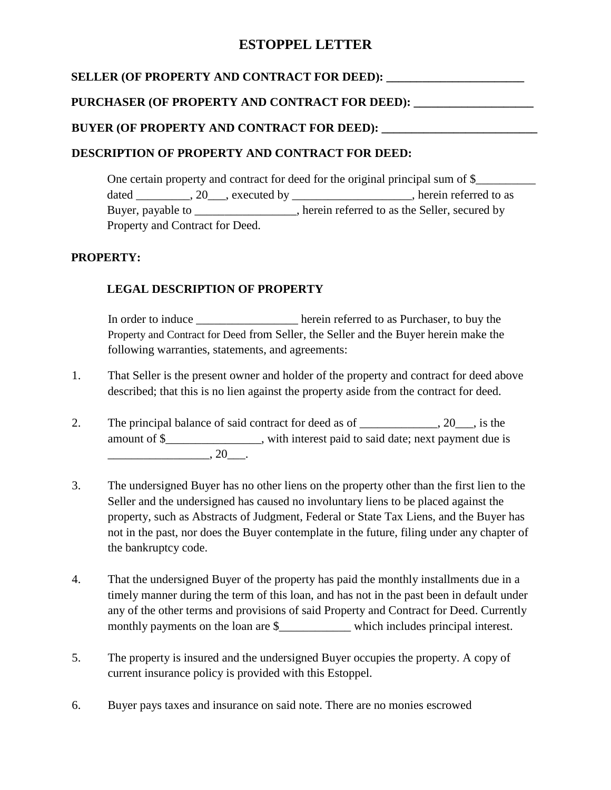# **ESTOPPEL LETTER**

## **SELLER (OF PROPERTY AND CONTRACT FOR DEED): \_\_\_\_\_\_\_\_\_\_\_\_\_\_\_\_\_\_\_\_\_\_\_**

#### **PURCHASER (OF PROPERTY AND CONTRACT FOR DEED): \_\_\_\_\_\_\_\_\_\_\_\_\_\_\_\_\_\_\_\_**

### **BUYER (OF PROPERTY AND CONTRACT FOR DEED): \_\_\_\_\_\_\_\_\_\_\_\_\_\_\_\_\_\_\_\_\_\_\_\_\_\_**

### **DESCRIPTION OF PROPERTY AND CONTRACT FOR DEED:**

One certain property and contract for deed for the original principal sum of \$\_\_\_\_\_\_\_\_\_ dated \_\_\_\_\_\_\_, 20\_\_\_, executed by \_\_\_\_\_\_\_\_\_\_\_\_\_\_\_\_\_, herein referred to as Buyer, payable to \_\_\_\_\_\_\_\_\_\_\_\_\_, herein referred to as the Seller, secured by Property and Contract for Deed.

## **PROPERTY:**

## **LEGAL DESCRIPTION OF PROPERTY**

In order to induce herein referred to as Purchaser, to buy the Property and Contract for Deed from Seller, the Seller and the Buyer herein make the following warranties, statements, and agreements:

- 1. That Seller is the present owner and holder of the property and contract for deed above described; that this is no lien against the property aside from the contract for deed.
- 2. The principal balance of said contract for deed as of \_\_\_\_\_\_\_\_\_\_, 20\_\_, is the amount of \$\_\_\_\_\_\_\_\_\_\_\_\_\_\_, with interest paid to said date; next payment due is \_\_\_\_\_\_\_\_\_\_\_\_\_\_\_\_\_, 20\_\_\_.
- 3. The undersigned Buyer has no other liens on the property other than the first lien to the Seller and the undersigned has caused no involuntary liens to be placed against the property, such as Abstracts of Judgment, Federal or State Tax Liens, and the Buyer has not in the past, nor does the Buyer contemplate in the future, filing under any chapter of the bankruptcy code.
- 4. That the undersigned Buyer of the property has paid the monthly installments due in a timely manner during the term of this loan, and has not in the past been in default under any of the other terms and provisions of said Property and Contract for Deed. Currently monthly payments on the loan are \$\_\_\_\_\_\_\_\_\_\_\_\_\_\_ which includes principal interest.
- 5. The property is insured and the undersigned Buyer occupies the property. A copy of current insurance policy is provided with this Estoppel.
- 6. Buyer pays taxes and insurance on said note. There are no monies escrowed